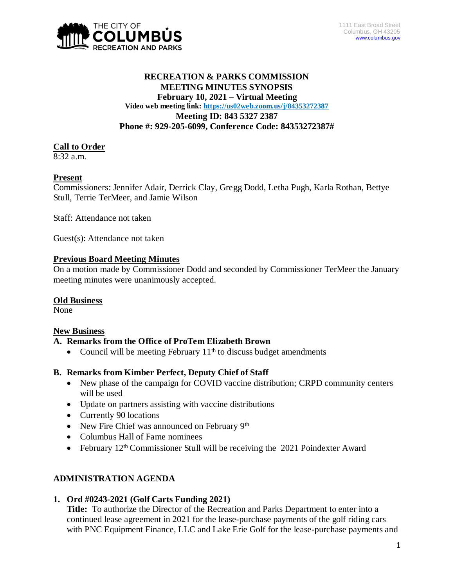

### **RECREATION & PARKS COMMISSION MEETING MINUTES SYNOPSIS February 10, 2021 – Virtual Meeting Video web meeting link: <https://us02web.zoom.us/j/84353272387> Meeting ID: 843 5327 2387 Phone #: 929-205-6099, Conference Code: 84353272387#**

### **Call to Order**

8:32 a.m.

### **Present**

Commissioners: Jennifer Adair, Derrick Clay, Gregg Dodd, Letha Pugh, Karla Rothan, Bettye Stull, Terrie TerMeer, and Jamie Wilson

Staff: Attendance not taken

Guest(s): Attendance not taken

### **Previous Board Meeting Minutes**

On a motion made by Commissioner Dodd and seconded by Commissioner TerMeer the January meeting minutes were unanimously accepted.

### **Old Business**

None

### **New Business**

### **A. Remarks from the Office of ProTem Elizabeth Brown**

• Council will be meeting February  $11<sup>th</sup>$  to discuss budget amendments

### **B. Remarks from Kimber Perfect, Deputy Chief of Staff**

- New phase of the campaign for COVID vaccine distribution; CRPD community centers will be used
- Update on partners assisting with vaccine distributions
- Currently 90 locations
- New Fire Chief was announced on February 9<sup>th</sup>
- Columbus Hall of Fame nominees
- February  $12<sup>th</sup>$  Commissioner Stull will be receiving the 2021 Poindexter Award

## **ADMINISTRATION AGENDA**

### **1. Ord #0243-2021 (Golf Carts Funding 2021)**

**Title:** To authorize the Director of the Recreation and Parks Department to enter into a continued lease agreement in 2021 for the lease-purchase payments of the golf riding cars with PNC Equipment Finance, LLC and Lake Erie Golf for the lease-purchase payments and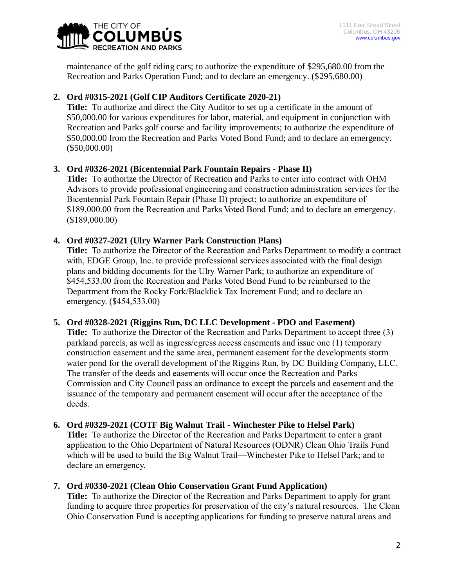

maintenance of the golf riding cars; to authorize the expenditure of \$295,680.00 from the Recreation and Parks Operation Fund; and to declare an emergency. (\$295,680.00)

## **2. Ord #0315-2021 (Golf CIP Auditors Certificate 2020-21)**

**Title:** To authorize and direct the City Auditor to set up a certificate in the amount of \$50,000.00 for various expenditures for labor, material, and equipment in conjunction with Recreation and Parks golf course and facility improvements; to authorize the expenditure of \$50,000.00 from the Recreation and Parks Voted Bond Fund; and to declare an emergency. (\$50,000.00)

## **3. Ord #0326-2021 (Bicentennial Park Fountain Repairs - Phase II)**

**Title:** To authorize the Director of Recreation and Parks to enter into contract with OHM Advisors to provide professional engineering and construction administration services for the Bicentennial Park Fountain Repair (Phase II) project; to authorize an expenditure of \$189,000.00 from the Recreation and Parks Voted Bond Fund; and to declare an emergency. (\$189,000.00)

# **4. Ord #0327-2021 (Ulry Warner Park Construction Plans)**

**Title:** To authorize the Director of the Recreation and Parks Department to modify a contract with, EDGE Group, Inc. to provide professional services associated with the final design plans and bidding documents for the Ulry Warner Park; to authorize an expenditure of \$454,533.00 from the Recreation and Parks Voted Bond Fund to be reimbursed to the Department from the Rocky Fork/Blacklick Tax Increment Fund; and to declare an emergency. (\$454,533.00)

## **5. Ord #0328-2021 (Riggins Run, DC LLC Development - PDO and Easement)**

**Title:** To authorize the Director of the Recreation and Parks Department to accept three (3) parkland parcels, as well as ingress/egress access easements and issue one (1) temporary construction easement and the same area, permanent easement for the developments storm water pond for the overall development of the Riggins Run, by DC Building Company, LLC. The transfer of the deeds and easements will occur once the Recreation and Parks Commission and City Council pass an ordinance to except the parcels and easement and the issuance of the temporary and permanent easement will occur after the acceptance of the deeds.

## **6. Ord #0329-2021 (COTF Big Walnut Trail - Winchester Pike to Helsel Park)**

**Title:** To authorize the Director of the Recreation and Parks Department to enter a grant application to the Ohio Department of Natural Resources (ODNR) Clean Ohio Trails Fund which will be used to build the Big Walnut Trail—Winchester Pike to Helsel Park; and to declare an emergency.

## **7. Ord #0330-2021 (Clean Ohio Conservation Grant Fund Application)**

**Title:** To authorize the Director of the Recreation and Parks Department to apply for grant funding to acquire three properties for preservation of the city's natural resources. The Clean Ohio Conservation Fund is accepting applications for funding to preserve natural areas and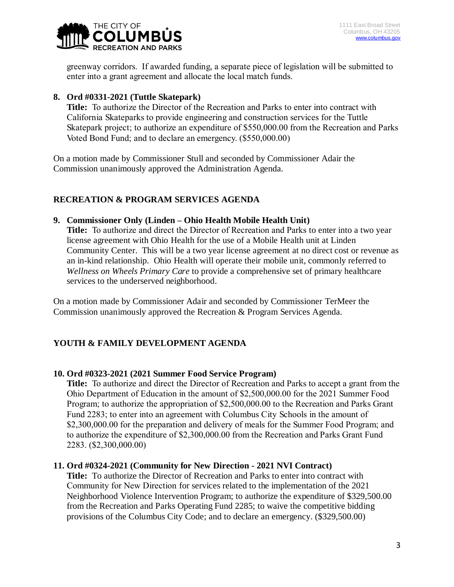

greenway corridors. If awarded funding, a separate piece of legislation will be submitted to enter into a grant agreement and allocate the local match funds.

### **8. Ord #0331-2021 (Tuttle Skatepark)**

**Title:** To authorize the Director of the Recreation and Parks to enter into contract with California Skateparks to provide engineering and construction services for the Tuttle Skatepark project; to authorize an expenditure of \$550,000.00 from the Recreation and Parks Voted Bond Fund; and to declare an emergency. (\$550,000.00)

On a motion made by Commissioner Stull and seconded by Commissioner Adair the Commission unanimously approved the Administration Agenda.

## **RECREATION & PROGRAM SERVICES AGENDA**

### **9. Commissioner Only (Linden – Ohio Health Mobile Health Unit)**

**Title:** To authorize and direct the Director of Recreation and Parks to enter into a two year license agreement with Ohio Health for the use of a Mobile Health unit at Linden Community Center. This will be a two year license agreement at no direct cost or revenue as an in-kind relationship. Ohio Health will operate their mobile unit, commonly referred to *Wellness on Wheels Primary Care* to provide a comprehensive set of primary healthcare services to the underserved neighborhood.

On a motion made by Commissioner Adair and seconded by Commissioner TerMeer the Commission unanimously approved the Recreation & Program Services Agenda.

## **YOUTH & FAMILY DEVELOPMENT AGENDA**

### **10. Ord #0323-2021 (2021 Summer Food Service Program)**

**Title:** To authorize and direct the Director of Recreation and Parks to accept a grant from the Ohio Department of Education in the amount of \$2,500,000.00 for the 2021 Summer Food Program; to authorize the appropriation of \$2,500,000.00 to the Recreation and Parks Grant Fund 2283; to enter into an agreement with Columbus City Schools in the amount of \$2,300,000.00 for the preparation and delivery of meals for the Summer Food Program; and to authorize the expenditure of \$2,300,000.00 from the Recreation and Parks Grant Fund 2283. (\$2,300,000.00)

### **11. Ord #0324-2021 (Community for New Direction - 2021 NVI Contract)**

**Title:** To authorize the Director of Recreation and Parks to enter into contract with Community for New Direction for services related to the implementation of the 2021 Neighborhood Violence Intervention Program; to authorize the expenditure of \$329,500.00 from the Recreation and Parks Operating Fund 2285; to waive the competitive bidding provisions of the Columbus City Code; and to declare an emergency. (\$329,500.00)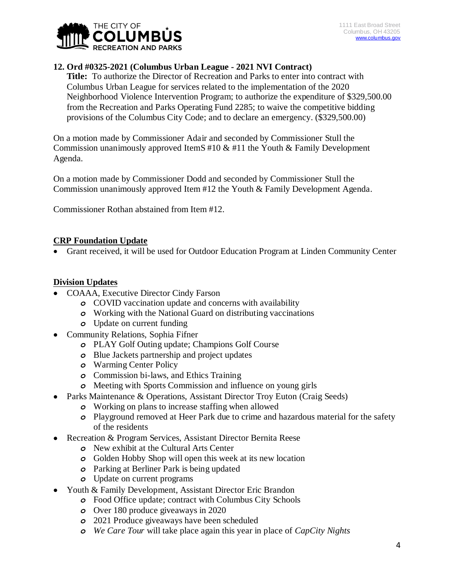

## **12. Ord #0325-2021 (Columbus Urban League - 2021 NVI Contract)**

**Title:** To authorize the Director of Recreation and Parks to enter into contract with Columbus Urban League for services related to the implementation of the 2020 Neighborhood Violence Intervention Program; to authorize the expenditure of \$329,500.00 from the Recreation and Parks Operating Fund 2285; to waive the competitive bidding provisions of the Columbus City Code; and to declare an emergency. (\$329,500.00)

On a motion made by Commissioner Adair and seconded by Commissioner Stull the Commission unanimously approved ItemS  $#10 \& #11$  the Youth  $\&$  Family Development Agenda.

On a motion made by Commissioner Dodd and seconded by Commissioner Stull the Commission unanimously approved Item #12 the Youth & Family Development Agenda.

Commissioner Rothan abstained from Item #12.

### **CRP Foundation Update**

Grant received, it will be used for Outdoor Education Program at Linden Community Center

### **Division Updates**

- COAAA, Executive Director Cindy Farson
	- *o* COVID vaccination update and concerns with availability
	- *o* Working with the National Guard on distributing vaccinations
	- *o* Update on current funding
- Community Relations, Sophia Fifner
	- *o* PLAY Golf Outing update; Champions Golf Course
	- *o* Blue Jackets partnership and project updates
	- *o* Warming Center Policy
	- *o* Commission bi-laws, and Ethics Training
	- *o* Meeting with Sports Commission and influence on young girls
- Parks Maintenance & Operations, Assistant Director Troy Euton (Craig Seeds)
	- *o* Working on plans to increase staffing when allowed
	- *o* Playground removed at Heer Park due to crime and hazardous material for the safety of the residents
- Recreation & Program Services, Assistant Director Bernita Reese
	- *o* New exhibit at the Cultural Arts Center
	- *o* Golden Hobby Shop will open this week at its new location
	- *o* Parking at Berliner Park is being updated
	- *o* Update on current programs
- Youth & Family Development, Assistant Director Eric Brandon
	- *o* Food Office update; contract with Columbus City Schools
	- *o* Over 180 produce giveaways in 2020
	- *o* 2021 Produce giveaways have been scheduled
	- *o We Care Tour* will take place again this year in place of *CapCity Nights*